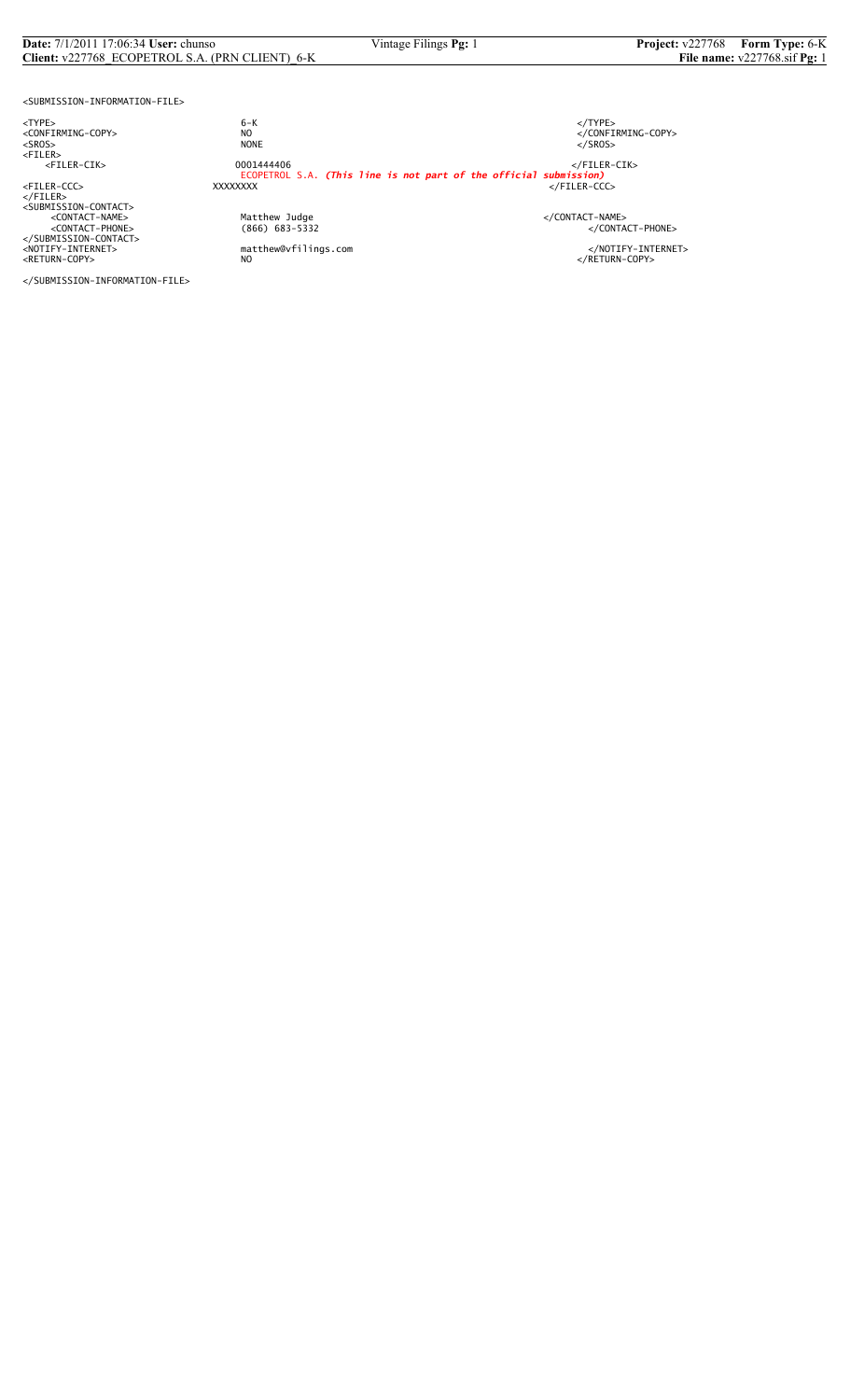## **Date:** 7/1/2011 17:06:34 **User:** chunso Vintage Filings **Pg:** 1 **Project:** v227768 **Form Type:** 6-K<br>**Client:** v227768\_ECOPETROL S.A. (PRN CLIENT)\_6-K **File name:** v227768.sif **Pg:** 1 **Client:** v227768\_ECOPETROL S.A. (PRN CLIENT)\_6-K

<SUBMISSION-INFORMATION-FILE>

<TYPE> 6-K </TYPE>

</FILER><br><SUBMISSION-CONTACT><br><CONTACT-NAME> </CONTACT-NAME></CONTACT-NAME> </SUBMISSION-CONTACT>

<CONFIRMING-COPY> NO </CONFIRMING-COPY> <SROS> NONE </SROS> <FILER> <FILER-CIK> 0001444406 </FILER-CIK> ECOPETROL S.A. *(This line is not part of the official submission)* <FILER-CCC> XXXXXXXX </FILER-CCC>

%Matthew Judge<br>
(866) 683-5332 </CONTACT-PHONE><br>
</CONTACT-PHONE>

<NOTIFY-INTERNET> matthew@vfilings.com </NOTIFY-INTERNET><br><RETURN-COPY> NO

</SUBMISSION-INFORMATION-FILE>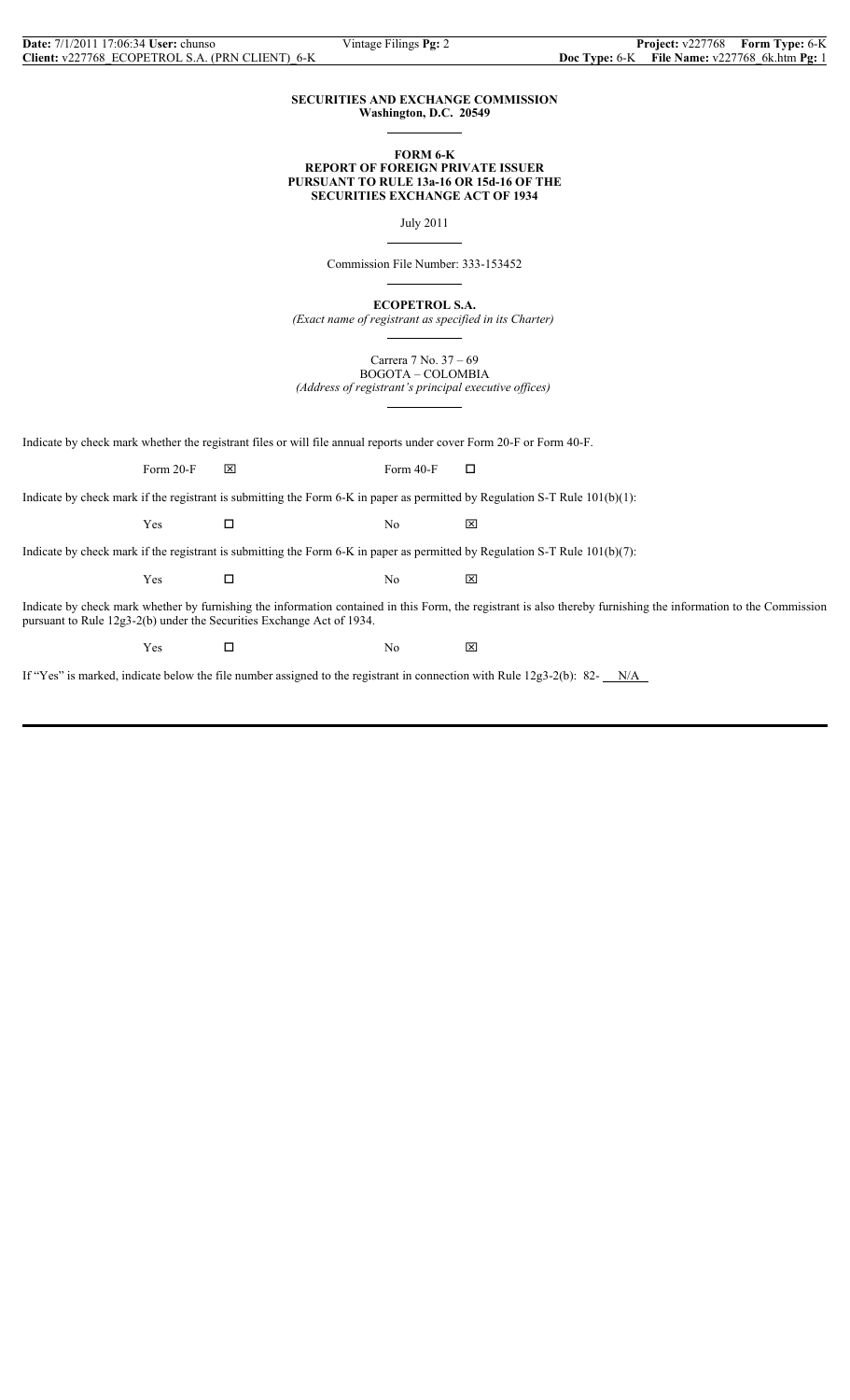$\overline{a}$ 

 $\overline{a}$ 

 $\overline{a}$ 

 $\overline{a}$ 

### **SECURITIES AND EXCHANGE COMMISSION Washington, D.C. 20549**

### **FORM 6-K REPORT OF FOREIGN PRIVATE ISSUER PURSUANT TO RULE 13a-16 OR 15d-16 OF THE SECURITIES EXCHANGE ACT OF 1934**

July 2011

Commission File Number: 333-153452

**ECOPETROL S.A.**

*(Exact name of registrant as specified in its Charter)*

Carrera 7 No. 37 – 69 BOGOTA – COLOMBIA

*(Address of registrant's principal executive offices)*  $\overline{a}$ 

Indicate by check mark whether the registrant files or will file annual reports under cover Form 20-F or Form 40-F.

Form 20-F  $\boxtimes$  Form 40-F  $\Box$ 

Indicate by check mark if the registrant is submitting the Form 6-K in paper as permitted by Regulation S-T Rule 101(b)(1):

 $Yes$   $\Box$  No  $\boxtimes$ 

Indicate by check mark if the registrant is submitting the Form 6-K in paper as permitted by Regulation S-T Rule 101(b)(7):

 $Yes$   $\Box$  No  $\boxtimes$ 

Indicate by check mark whether by furnishing the information contained in this Form, the registrant is also thereby furnishing the information to the Commission pursuant to Rule 12g3-2(b) under the Securities Exchange Act of 1934.

 $Yes$   $\square$  No  $\boxtimes$ 

If "Yes" is marked, indicate below the file number assigned to the registrant in connection with Rule  $12g3-2(b)$ : 82- $N/A$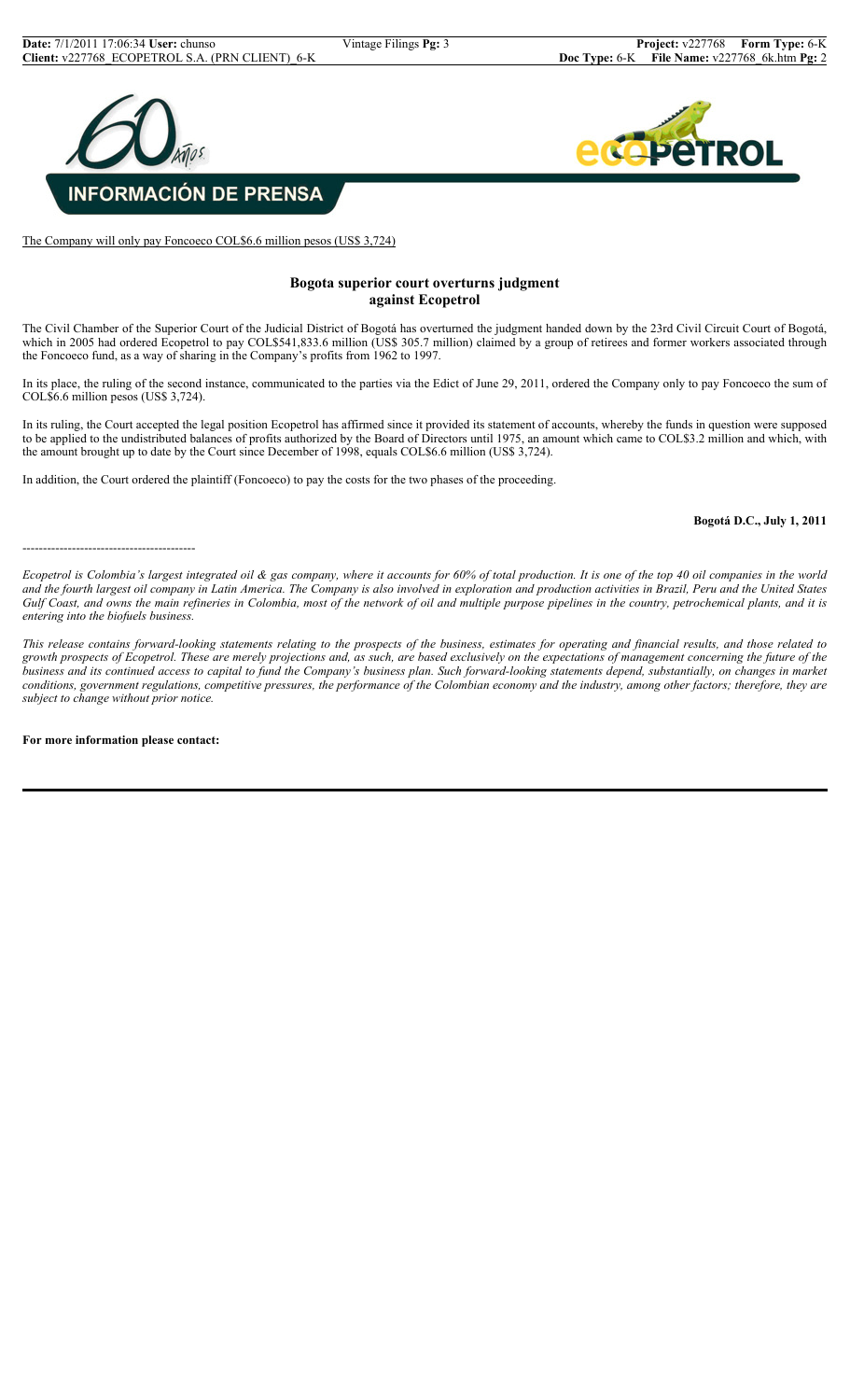

The Company will only pay Foncoeco COL\$6.6 million pesos (US\$ 3,724)

## **Bogota superior court overturns judgment against Ecopetrol**

The Civil Chamber of the Superior Court of the Judicial District of Bogotá has overturned the judgment handed down by the 23rd Civil Circuit Court of Bogotá, which in 2005 had ordered Ecopetrol to pay COL\$541,833.6 million (US\$ 305.7 million) claimed by a group of retirees and former workers associated through the Foncoeco fund, as a way of sharing in the Company's profits from 1962 to 1997.

In its place, the ruling of the second instance, communicated to the parties via the Edict of June 29, 2011, ordered the Company only to pay Foncoeco the sum of COL\$6.6 million pesos (US\$ 3,724).

In its ruling, the Court accepted the legal position Ecopetrol has affirmed since it provided its statement of accounts, whereby the funds in question were supposed to be applied to the undistributed balances of profits authorized by the Board of Directors until 1975, an amount which came to COL\$3.2 million and which, with the amount brought up to date by the Court since December of 1998, equals COL\$6.6 million (US\$ 3,724).

In addition, the Court ordered the plaintiff (Foncoeco) to pay the costs for the two phases of the proceeding.

**Bogotá D.C., July 1, 2011**

------------------------------------------

*Ecopetrol is Colombia's largest integrated oil & gas company, where it accounts for 60% of total production. It is one of the top 40 oil companies in the world and the fourth largest oil company in Latin America. The Company is also involved in exploration and production activities in Brazil, Peru and the United States Gulf Coast, and owns the main refineries in Colombia, most of the network of oil and multiple purpose pipelines in the country, petrochemical plants, and it is entering into the biofuels business.*

*This release contains forward-looking statements relating to the prospects of the business, estimates for operating and financial results, and those related to growth prospects of Ecopetrol. These are merely projections and, as such, are based exclusively on the expectations of management concerning the future of the business and its continued access to capital to fund the Company's business plan. Such forward-looking statements depend, substantially, on changes in market conditions, government regulations, competitive pressures, the performance of the Colombian economy and the industry, among other factors; therefore, they are subject to change without prior notice.*

**For more information please contact:**

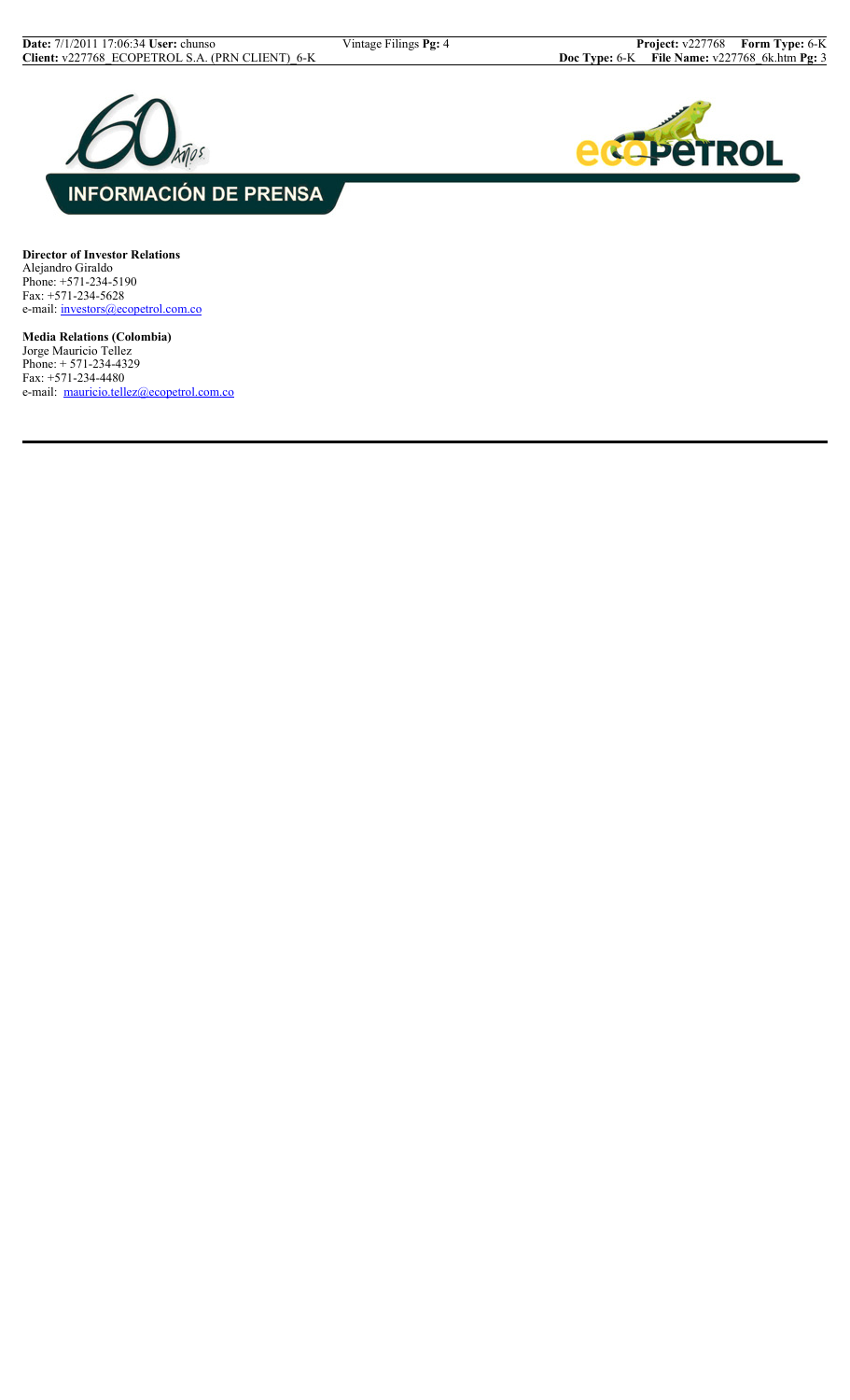



**Director of Investor Relations** Alejandro Giraldo Phone: +571-234-5190 Fax: +571-234-5628 e-mail: investors@ecopetrol.com.co

**Media Relations (Colombia)** Jorge Mauricio Tellez Phone: + 571-234-4329 Fax: +571-234-4480 e-mail: mauricio.tellez@ecopetrol.com.co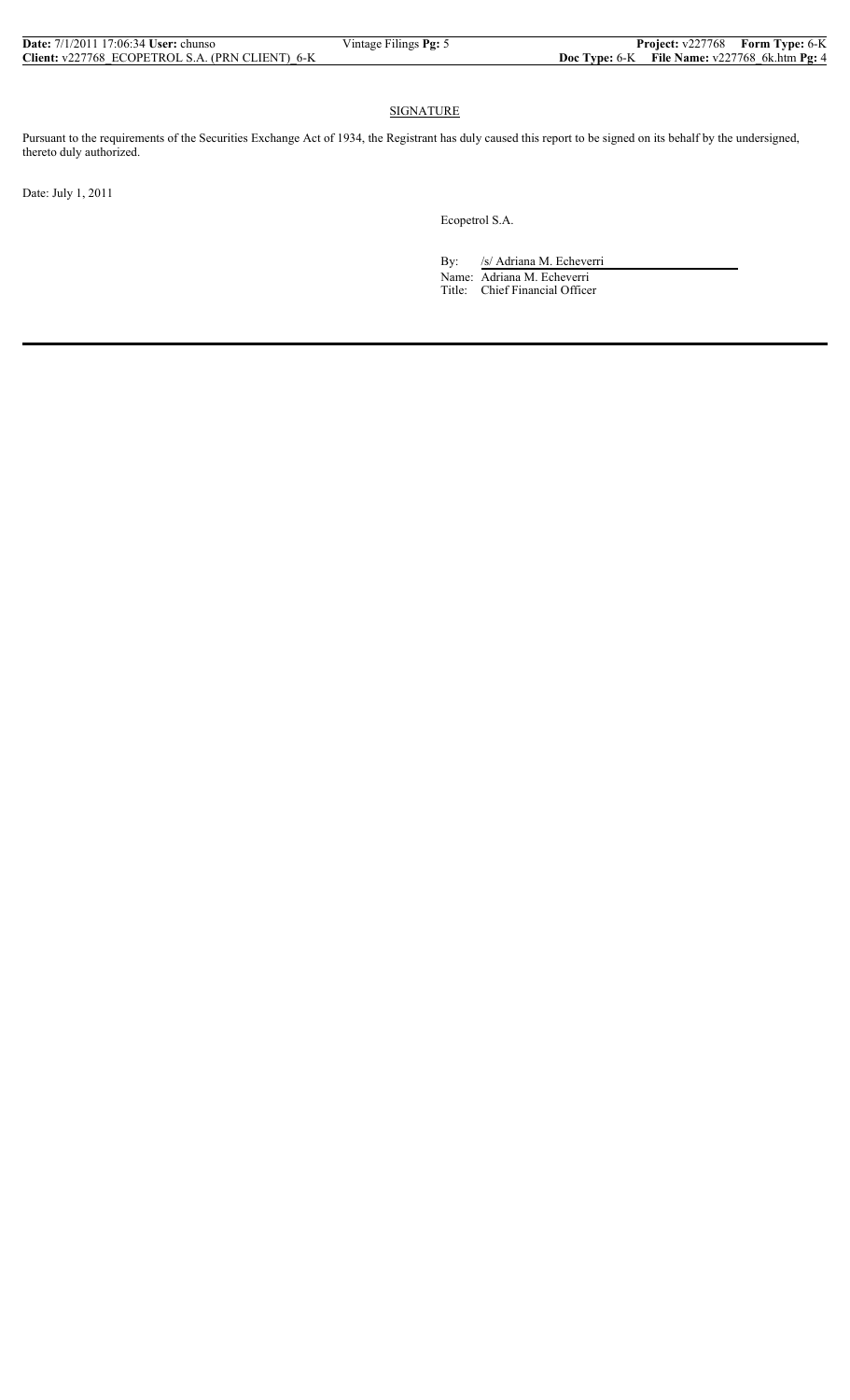| <b>Date:</b> 7/1/2011 17:06:34 User: chunso     | Vintage Filings Pg: 5 | <b>Project:</b> v227768 Form Type: 6-K                 |  |
|-------------------------------------------------|-----------------------|--------------------------------------------------------|--|
| Client: v227768 ECOPETROL S.A. (PRN CLIENT) 6-K |                       | <b>Doc Type:</b> 6-K File Name: $v227768$ 6k.htm Pg: 4 |  |

## SIGNATURE

Pursuant to the requirements of the Securities Exchange Act of 1934, the Registrant has duly caused this report to be signed on its behalf by the undersigned, thereto duly authorized.

Date: July 1, 2011

Ecopetrol S.A.

By: /s/ Adriana M. Echeverri Name: Adriana M. Echeverri Title: Chief Financial Officer